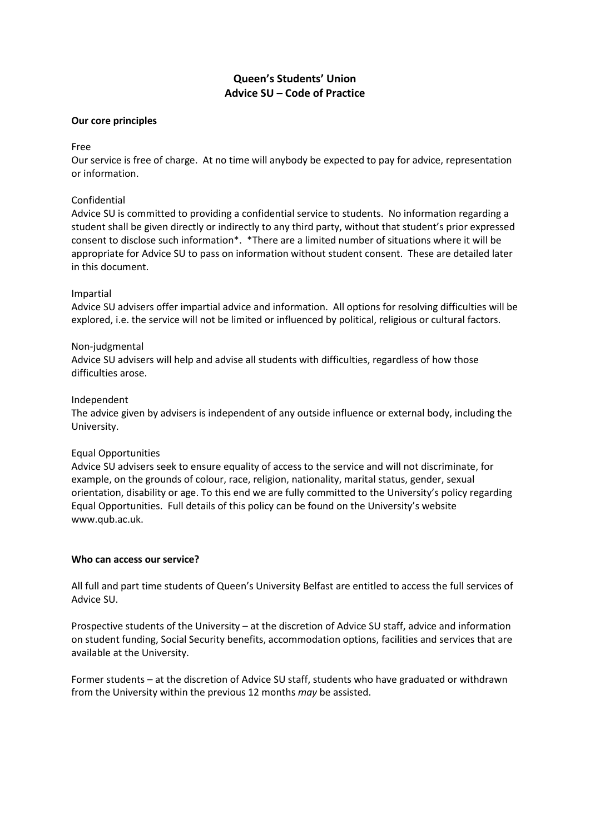# **Queen's Students' Union Advice SU – Code of Practice**

### **Our core principles**

# Free

Our service is free of charge. At no time will anybody be expected to pay for advice, representation or information.

# Confidential

Advice SU is committed to providing a confidential service to students. No information regarding a student shall be given directly or indirectly to any third party, without that student's prior expressed consent to disclose such information\*. \*There are a limited number of situations where it will be appropriate for Advice SU to pass on information without student consent. These are detailed later in this document.

# Impartial

Advice SU advisers offer impartial advice and information. All options for resolving difficulties will be explored, i.e. the service will not be limited or influenced by political, religious or cultural factors.

# Non-judgmental

Advice SU advisers will help and advise all students with difficulties, regardless of how those difficulties arose.

# Independent

The advice given by advisers is independent of any outside influence or external body, including the University.

# Equal Opportunities

Advice SU advisers seek to ensure equality of access to the service and will not discriminate, for example, on the grounds of colour, race, religion, nationality, marital status, gender, sexual orientation, disability or age. To this end we are fully committed to the University's policy regarding Equal Opportunities. Full details of this policy can be found on the University's website www.qub.ac.uk.

### **Who can access our service?**

All full and part time students of Queen's University Belfast are entitled to access the full services of Advice SU.

Prospective students of the University – at the discretion of Advice SU staff, advice and information on student funding, Social Security benefits, accommodation options, facilities and services that are available at the University.

Former students – at the discretion of Advice SU staff, students who have graduated or withdrawn from the University within the previous 12 months *may* be assisted.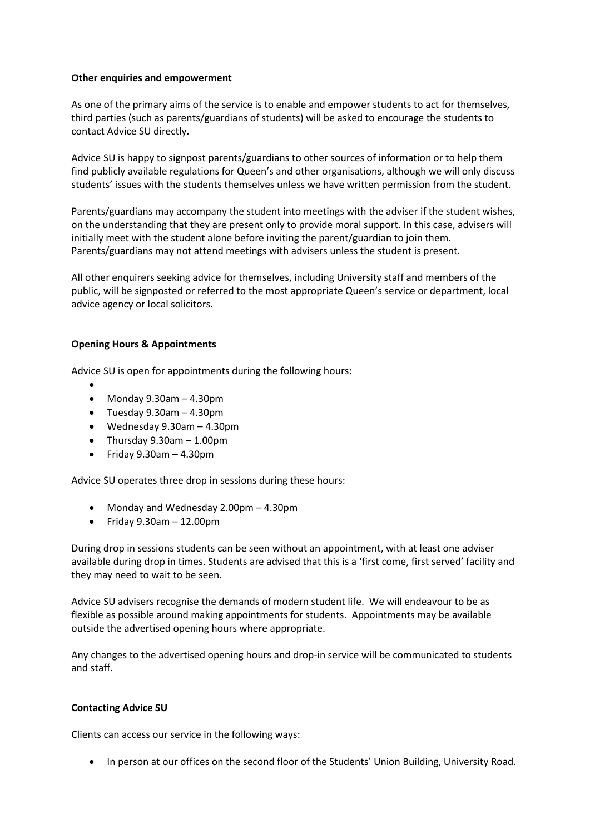#### **Other enquiries and empowerment**

As one of the primary aims of the service is to enable and empower students to act for themselves, third parties (such as parents/guardians of students) will be asked to encourage the students to contact Advice SU directly.

Advice SU is happy to signpost parents/guardians to other sources of information or to help them find publicly available regulations for Queen's and other organisations, although we will only discuss students' issues with the students themselves unless we have written permission from the student.

Parents/guardians may accompany the student into meetings with the adviser if the student wishes, on the understanding that they are present only to provide moral support. In this case, advisers will initially meet with the student alone before inviting the parent/guardian to join them. Parents/guardians may not attend meetings with advisers unless the student is present.

All other enquirers seeking advice for themselves, including University staff and members of the public, will be signposted or referred to the most appropriate Queen's service or department, local advice agency or local solicitors.

# **Opening Hours & Appointments**

Advice SU is open for appointments during the following hours:

- $\bullet$  Monday 9.30am - 4.30pm
- Tuesday 9.30am 4.30pm
- Wednesday 9.30am 4.30pm
- Thursday 9.30am 1.00pm
- $\bullet$  Friday 9.30am 4.30pm

Advice SU operates three drop in sessions during these hours:

- Monday and Wednesday 2.00pm 4.30pm
- $\bullet$  Friday 9.30am  $-12.00$ pm

During drop in sessions students can be seen without an appointment, with at least one adviser available during drop in times. Students are advised that this is a 'first come, first served' facility and they may need to wait to be seen.

Advice SU advisers recognise the demands of modern student life. We will endeavour to be as flexible as possible around making appointments for students. Appointments may be available outside the advertised opening hours where appropriate.

Any changes to the advertised opening hours and drop-in service will be communicated to students and staff.

### **Contacting Advice SU**

Clients can access our service in the following ways:

• In person at our offices on the second floor of the Students' Union Building, University Road.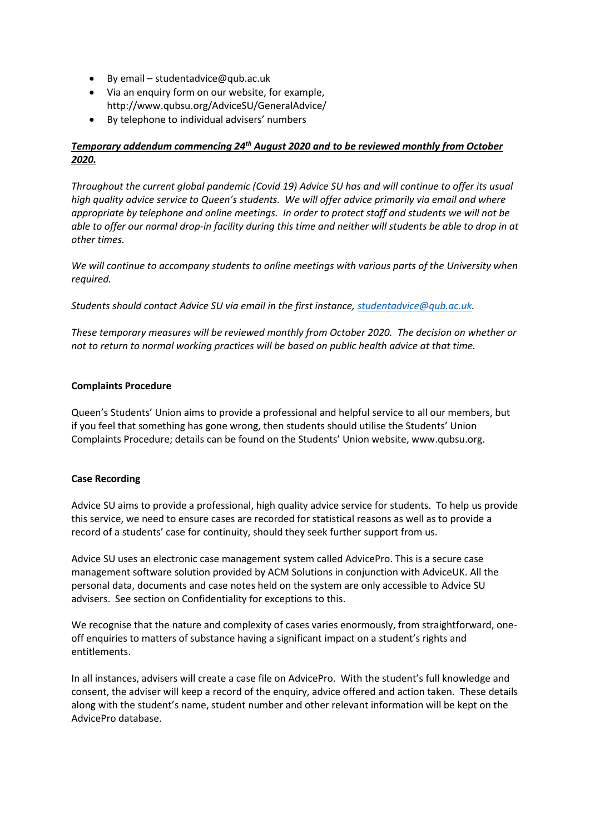- By email studentadvice@qub.ac.uk
- Via an enquiry form on our website, for example, http://www.qubsu.org/AdviceSU/GeneralAdvice/
- By telephone to individual advisers' numbers

# *Temporary addendum commencing 24th August 2020 and to be reviewed monthly from October 2020.*

*Throughout the current global pandemic (Covid 19) Advice SU has and will continue to offer its usual high quality advice service to Queen's students. We will offer advice primarily via email and where appropriate by telephone and online meetings. In order to protect staff and students we will not be able to offer our normal drop-in facility during this time and neither will students be able to drop in at other times.*

*We will continue to accompany students to online meetings with various parts of the University when required.*

*Students should contact Advice SU via email in the first instance[, studentadvice@qub.ac.uk.](mailto:studentadvice@qub.ac.uk)*

*These temporary measures will be reviewed monthly from October 2020. The decision on whether or not to return to normal working practices will be based on public health advice at that time.*

# **Complaints Procedure**

Queen's Students' Union aims to provide a professional and helpful service to all our members, but if you feel that something has gone wrong, then students should utilise the Students' Union Complaints Procedure; details can be found on the Students' Union website, www.qubsu.org.

# **Case Recording**

Advice SU aims to provide a professional, high quality advice service for students. To help us provide this service, we need to ensure cases are recorded for statistical reasons as well as to provide a record of a students' case for continuity, should they seek further support from us.

Advice SU uses an electronic case management system called AdvicePro. This is a secure case management software solution provided by ACM Solutions in conjunction with AdviceUK. All the personal data, documents and case notes held on the system are only accessible to Advice SU advisers. See section on Confidentiality for exceptions to this.

We recognise that the nature and complexity of cases varies enormously, from straightforward, oneoff enquiries to matters of substance having a significant impact on a student's rights and entitlements.

In all instances, advisers will create a case file on AdvicePro. With the student's full knowledge and consent, the adviser will keep a record of the enquiry, advice offered and action taken. These details along with the student's name, student number and other relevant information will be kept on the AdvicePro database.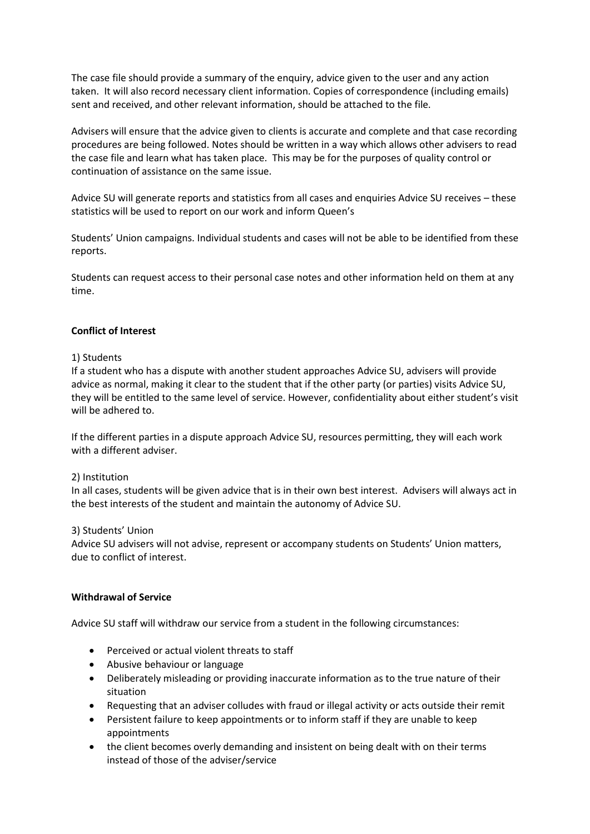The case file should provide a summary of the enquiry, advice given to the user and any action taken. It will also record necessary client information. Copies of correspondence (including emails) sent and received, and other relevant information, should be attached to the file.

Advisers will ensure that the advice given to clients is accurate and complete and that case recording procedures are being followed. Notes should be written in a way which allows other advisers to read the case file and learn what has taken place. This may be for the purposes of quality control or continuation of assistance on the same issue.

Advice SU will generate reports and statistics from all cases and enquiries Advice SU receives – these statistics will be used to report on our work and inform Queen's

Students' Union campaigns. Individual students and cases will not be able to be identified from these reports.

Students can request access to their personal case notes and other information held on them at any time.

### **Conflict of Interest**

#### 1) Students

If a student who has a dispute with another student approaches Advice SU, advisers will provide advice as normal, making it clear to the student that if the other party (or parties) visits Advice SU, they will be entitled to the same level of service. However, confidentiality about either student's visit will be adhered to.

If the different parties in a dispute approach Advice SU, resources permitting, they will each work with a different adviser.

#### 2) Institution

In all cases, students will be given advice that is in their own best interest. Advisers will always act in the best interests of the student and maintain the autonomy of Advice SU.

#### 3) Students' Union

Advice SU advisers will not advise, represent or accompany students on Students' Union matters, due to conflict of interest.

#### **Withdrawal of Service**

Advice SU staff will withdraw our service from a student in the following circumstances:

- Perceived or actual violent threats to staff
- Abusive behaviour or language
- Deliberately misleading or providing inaccurate information as to the true nature of their situation
- Requesting that an adviser colludes with fraud or illegal activity or acts outside their remit
- Persistent failure to keep appointments or to inform staff if they are unable to keep appointments
- the client becomes overly demanding and insistent on being dealt with on their terms instead of those of the adviser/service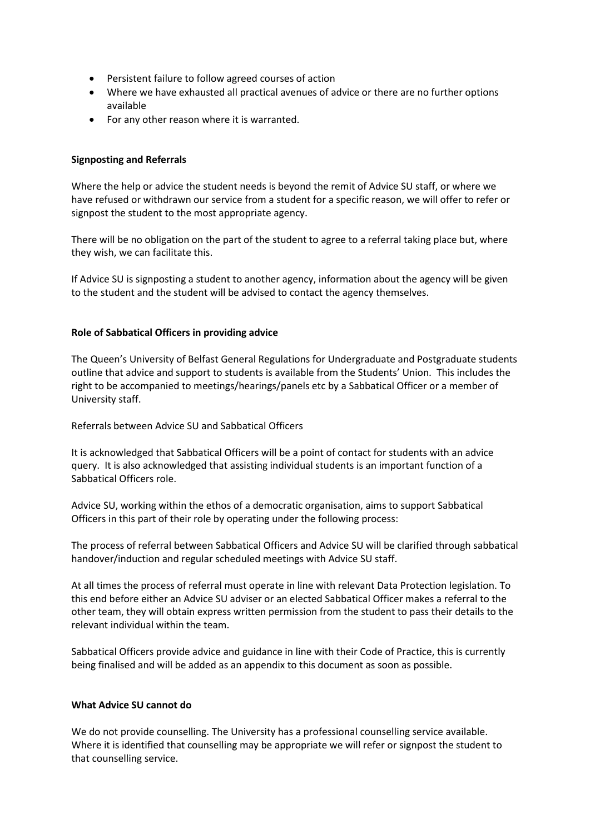- Persistent failure to follow agreed courses of action
- Where we have exhausted all practical avenues of advice or there are no further options available
- For any other reason where it is warranted.

### **Signposting and Referrals**

Where the help or advice the student needs is beyond the remit of Advice SU staff, or where we have refused or withdrawn our service from a student for a specific reason, we will offer to refer or signpost the student to the most appropriate agency.

There will be no obligation on the part of the student to agree to a referral taking place but, where they wish, we can facilitate this.

If Advice SU is signposting a student to another agency, information about the agency will be given to the student and the student will be advised to contact the agency themselves.

### **Role of Sabbatical Officers in providing advice**

The Queen's University of Belfast General Regulations for Undergraduate and Postgraduate students outline that advice and support to students is available from the Students' Union. This includes the right to be accompanied to meetings/hearings/panels etc by a Sabbatical Officer or a member of University staff.

Referrals between Advice SU and Sabbatical Officers

It is acknowledged that Sabbatical Officers will be a point of contact for students with an advice query. It is also acknowledged that assisting individual students is an important function of a Sabbatical Officers role.

Advice SU, working within the ethos of a democratic organisation, aims to support Sabbatical Officers in this part of their role by operating under the following process:

The process of referral between Sabbatical Officers and Advice SU will be clarified through sabbatical handover/induction and regular scheduled meetings with Advice SU staff.

At all times the process of referral must operate in line with relevant Data Protection legislation. To this end before either an Advice SU adviser or an elected Sabbatical Officer makes a referral to the other team, they will obtain express written permission from the student to pass their details to the relevant individual within the team.

Sabbatical Officers provide advice and guidance in line with their Code of Practice, this is currently being finalised and will be added as an appendix to this document as soon as possible.

### **What Advice SU cannot do**

We do not provide counselling. The University has a professional counselling service available. Where it is identified that counselling may be appropriate we will refer or signpost the student to that counselling service.